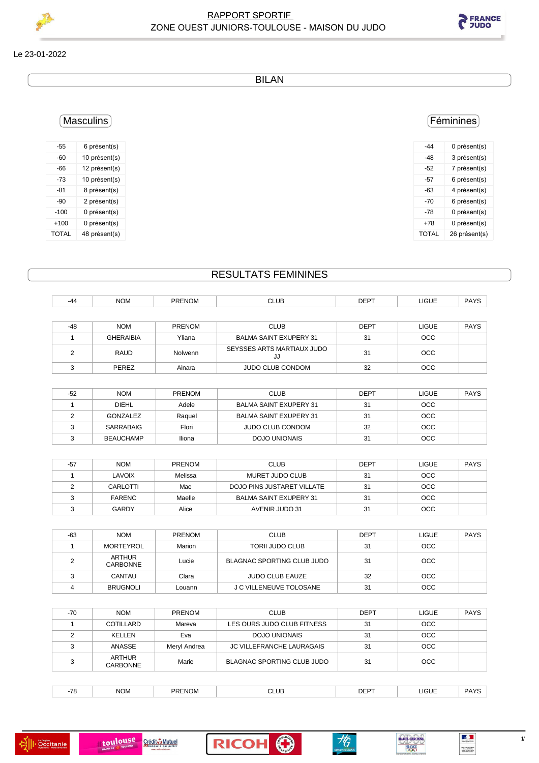

## Le 23-01-2022

BILAN

| -44 | 0 présent(s) |
|-----|--------------|
| -48 | 3 présent(s) |
| -52 | 7 présent(s) |
|     |              |

Féminines

| -57          | 6 présent(s)  |
|--------------|---------------|
| -63          | 4 présent(s)  |
| -70          | 6 présent(s)  |
| -78          | 0 présent(s)  |
| +78          | 0 présent(s)  |
| <b>TOTAL</b> | 26 présent(s) |
|              |               |

-55 6 présent(s) -60 10 présent(s) -66 12 présent(s) -73 10 présent(s) -81 8 présent(s) -90 2 présent(s) -100 0 présent(s) +100 0 présent(s)

TOTAL 48 présent(s)

Masculins

## RESULTATS FEMININES

-44 NOM PRENOM CLUB DEPT LIGUE PAYS

| $-48$ | <b>NOM</b>       | <b>PRENOM</b> | <b>CLUB</b>                      | <b>DEPT</b> | <b>LIGUE</b> | <b>PAYS</b> |
|-------|------------------|---------------|----------------------------------|-------------|--------------|-------------|
|       | <b>GHERAIBIA</b> | Yliana        | BALMA SAINT EXUPERY 31           | 31          | <b>OCC</b>   |             |
|       | <b>RAUD</b>      | Nolwenn       | SEYSSES ARTS MARTIAUX JUDO<br>JJ | 31          | <b>OCC</b>   |             |
|       | PEREZ            | Ainara        | <b>JUDO CLUB CONDOM</b>          | 32          | <b>OCC</b>   |             |

| -52 | <b>NOM</b>       | <b>PRENOM</b> | <b>CLUB</b>                   | <b>DEPT</b> | <b>LIGUE</b> | <b>PAYS</b> |
|-----|------------------|---------------|-------------------------------|-------------|--------------|-------------|
|     | <b>DIEHL</b>     | Adele         | <b>BALMA SAINT EXUPERY 31</b> | 31          | <b>OCC</b>   |             |
|     | GONZALEZ         | Raguel        | <b>BALMA SAINT EXUPERY 31</b> | 31          | <b>OCC</b>   |             |
|     | SARRABAIG        | Flori         | JUDO CLUB CONDOM              | 32          | <b>OCC</b>   |             |
|     | <b>BEAUCHAMP</b> | Iliona        | DOJO UNIONAIS                 | 31          | <b>OCC</b>   |             |

| $-57$ | <b>NOM</b>    | <b>PRENOM</b> | <b>CLUB</b>                   | <b>DEPT</b> | <b>LIGUE</b> | <b>PAYS</b> |
|-------|---------------|---------------|-------------------------------|-------------|--------------|-------------|
|       | LAVOIX        | Melissa       | MURET JUDO CLUB               | 31          | <b>OCC</b>   |             |
|       | CARLOTTI      | Mae           | DOJO PINS JUSTARET VILLATE    | 31          | <b>OCC</b>   |             |
|       | <b>FARENC</b> | Maelle        | <b>BALMA SAINT EXUPERY 31</b> | 31          | <b>OCC</b>   |             |
|       | GARDY         | Alice         | AVENIR JUDO 31                | 31          | <b>OCC</b>   |             |

| -63 | <b>NOM</b>                       | <b>PRENOM</b> | <b>CLUB</b>                       | <b>DEPT</b> | <b>LIGUE</b> | <b>PAYS</b> |
|-----|----------------------------------|---------------|-----------------------------------|-------------|--------------|-------------|
|     | <b>MORTEYROL</b>                 | Marion        | <b>TORII JUDO CLUB</b>            | 31          | <b>OCC</b>   |             |
|     | <b>ARTHUR</b><br><b>CARBONNE</b> | Lucie         | <b>BLAGNAC SPORTING CLUB JUDO</b> | 31          | <b>OCC</b>   |             |
|     | CANTAU                           | Clara         | <b>JUDO CLUB EAUZE</b>            | 32          | <b>OCC</b>   |             |
|     | <b>BRUGNOLI</b>                  | Louann        | J C VILLENEUVE TOLOSANE           | 31          | <b>OCC</b>   |             |

| $-70$ | <b>NOM</b>                | PRENOM       | <b>CLUB</b>                      | <b>DEPT</b> | <b>LIGUE</b> | <b>PAYS</b> |
|-------|---------------------------|--------------|----------------------------------|-------------|--------------|-------------|
|       | <b>COTILLARD</b>          | Mareva       | LES OURS JUDO CLUB FITNESS       | 31          | <b>OCC</b>   |             |
|       | KELLEN                    | Eva          | <b>DOJO UNIONAIS</b>             | 31          | OCC.         |             |
|       | ANASSE                    | Meryl Andrea | <b>JC VILLEFRANCHE LAURAGAIS</b> | 31          | OCC.         |             |
|       | ARTHUR<br><b>CARBONNE</b> | Marie        | BLAGNAC SPORTING CLUB JUDO       | 31          | <b>OCC</b>   |             |

| $\overline{\phantom{a}}$ | <b>NOM</b><br>_____ | <b>PREN</b><br>۰Νί<br>IOM | <b>CLUL</b><br>____ | <b>DEPT</b> | <b>LIGUE</b><br>____ | 1117<br>______ |
|--------------------------|---------------------|---------------------------|---------------------|-------------|----------------------|----------------|
|                          |                     |                           |                     |             |                      |                |







HAUTE-GARONNE

**FRANCE** 

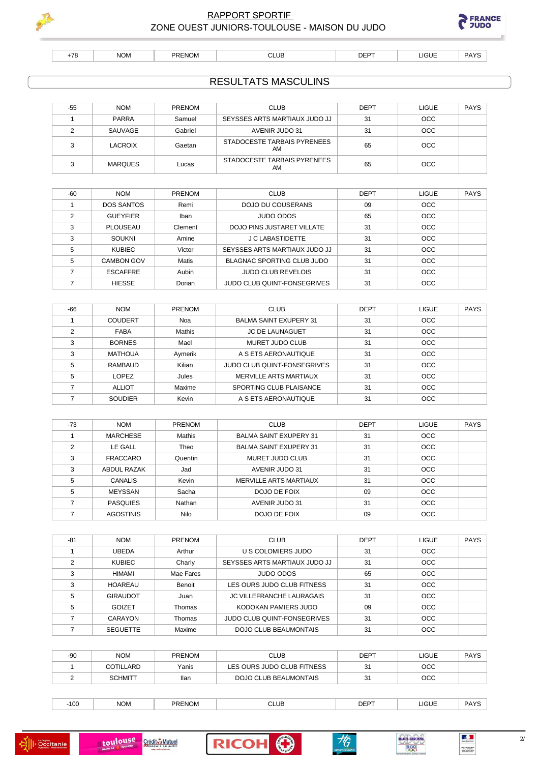

 $+78$ 

## **RAPPORT SPORTIF** ZONE OUEST JUNIORS-TOULOUSE - MAISON DU JUDO



 $NOM$ PRENOM  $CLUB$  LIGUE

**DEPT** 

**RESULTATS MASCULINS** 

PAYS

| $-55$ | <b>NOM</b>     | <b>PRENOM</b> | <b>CLUB</b>                       | <b>DEPT</b> | <b>LIGUE</b> | PAYS |
|-------|----------------|---------------|-----------------------------------|-------------|--------------|------|
|       | <b>PARRA</b>   | Samuel        | SEYSSES ARTS MARTIAUX JUDO JJ     | 31          | <b>OCC</b>   |      |
|       | SAUVAGE        | Gabriel       | AVENIR JUDO 31                    | 31          | OCC          |      |
|       | <b>LACROIX</b> | Gaetan        | STADOCESTE TARBAIS PYRENEES<br>AM | 65          | <b>OCC</b>   |      |
|       | <b>MARQUES</b> | Lucas         | STADOCESTE TARBAIS PYRENEES<br>AM | 65          | <b>OCC</b>   |      |

| $-60$ | <b>NOM</b>        | <b>PRENOM</b> | <b>CLUB</b>                        | <b>DEPT</b> | <b>LIGUE</b> | <b>PAYS</b> |
|-------|-------------------|---------------|------------------------------------|-------------|--------------|-------------|
|       | <b>DOS SANTOS</b> | Remi          | DOJO DU COUSERANS                  | 09          | <b>OCC</b>   |             |
| າ     | <b>GUEYFIER</b>   | Iban          | JUDO ODOS                          | 65          | <b>OCC</b>   |             |
| ∘     | PLOUSEAU          | Clement       | DOJO PINS JUSTARET VILLATE         | 31          | <b>OCC</b>   |             |
| 3     | <b>SOUKNI</b>     | Amine         | <b>J C LABASTIDETTE</b>            | 31          | <b>OCC</b>   |             |
| 5     | <b>KUBIEC</b>     | Victor        | SEYSSES ARTS MARTIAUX JUDO JJ      | 31          | <b>OCC</b>   |             |
| 5     | <b>CAMBON GOV</b> | Matis         | BLAGNAC SPORTING CLUB JUDO         | 31          | <b>OCC</b>   |             |
|       | <b>ESCAFFRE</b>   | Aubin         | <b>JUDO CLUB REVELOIS</b>          | 31          | <b>OCC</b>   |             |
|       | <b>HIESSE</b>     | Dorian        | <b>JUDO CLUB QUINT-FONSEGRIVES</b> | 31          | <b>OCC</b>   |             |

| -66 | <b>NOM</b>     | <b>PRENOM</b> | <b>CLUB</b>                        | <b>DEPT</b> | <b>LIGUE</b> | <b>PAYS</b> |
|-----|----------------|---------------|------------------------------------|-------------|--------------|-------------|
|     | <b>COUDERT</b> | Noa           | <b>BALMA SAINT EXUPERY 31</b>      | 31          | <b>OCC</b>   |             |
| ◠   | <b>FABA</b>    | Mathis        | <b>JC DE LAUNAGUET</b>             | 31          | <b>OCC</b>   |             |
| 3   | <b>BORNES</b>  | Mael          | MURET JUDO CLUB                    | 31          | <b>OCC</b>   |             |
| 3   | <b>MATHOUA</b> | Aymerik       | A S ETS AERONAUTIQUE               | 31          | <b>OCC</b>   |             |
| 5   | RAMBAUD        | Kilian        | <b>JUDO CLUB QUINT-FONSEGRIVES</b> | 31          | <b>OCC</b>   |             |
| 5   | <b>LOPEZ</b>   | Jules         | MERVILLE ARTS MARTIAUX             | 31          | <b>OCC</b>   |             |
|     | <b>ALLIOT</b>  | Maxime        | SPORTING CLUB PLAISANCE            | 31          | <b>OCC</b>   |             |
|     | <b>SOUDIER</b> | Kevin         | A S ETS AERONAUTIQUE               | 31          | <b>OCC</b>   |             |

| -73 | <b>NOM</b>       | <b>PRENOM</b> | <b>CLUB</b>                   | <b>DEPT</b> | <b>LIGUE</b> | <b>PAYS</b> |
|-----|------------------|---------------|-------------------------------|-------------|--------------|-------------|
|     | <b>MARCHESE</b>  | Mathis        | <b>BALMA SAINT EXUPERY 31</b> | 31          | <b>OCC</b>   |             |
| っ   | LE GALL          | Theo          | <b>BALMA SAINT EXUPERY 31</b> | 31          | <b>OCC</b>   |             |
| 3   | <b>FRACCARO</b>  | Quentin       | MURET JUDO CLUB               | 31          | <b>OCC</b>   |             |
| 3   | ABDUL RAZAK      | Jad           | AVENIR JUDO 31                | 31          | <b>OCC</b>   |             |
| 5   | <b>CANALIS</b>   | Kevin         | MERVILLE ARTS MARTIAUX        | 31          | <b>OCC</b>   |             |
| 5   | <b>MEYSSAN</b>   | Sacha         | DOJO DE FOIX                  | 09          | <b>OCC</b>   |             |
|     | <b>PASQUIES</b>  | Nathan        | AVENIR JUDO 31                | 31          | <b>OCC</b>   |             |
|     | <b>AGOSTINIS</b> | Nilo          | DOJO DE FOIX                  | 09          | <b>OCC</b>   |             |

| $-81$ | <b>NOM</b>      | <b>PRENOM</b> | <b>CLUB</b>                        | <b>DEPT</b> | <b>LIGUE</b> | PAYS |
|-------|-----------------|---------------|------------------------------------|-------------|--------------|------|
|       | <b>UBEDA</b>    | Arthur        | U S COLOMIERS JUDO                 | 31          | <b>OCC</b>   |      |
| ◠     | <b>KUBIEC</b>   | Charly        | SEYSSES ARTS MARTIAUX JUDO JJ      | 31          | <b>OCC</b>   |      |
| 3     | <b>HIMAMI</b>   | Mae Fares     | <b>JUDO ODOS</b>                   | 65          | <b>OCC</b>   |      |
| 3     | HOAREAU         | Benoit        | LES OURS JUDO CLUB FITNESS         | 31          | <b>OCC</b>   |      |
| 5     | <b>GIRAUDOT</b> | Juan          | <b>JC VILLEFRANCHE LAURAGAIS</b>   | 31          | <b>OCC</b>   |      |
| 5     | <b>GOIZET</b>   | Thomas        | KODOKAN PAMIERS JUDO               | 09          | <b>OCC</b>   |      |
|       | CARAYON         | Thomas        | <b>JUDO CLUB QUINT-FONSEGRIVES</b> | 31          | <b>OCC</b>   |      |
|       | <b>SEGUETTE</b> | Maxime        | DOJO CLUB BEAUMONTAIS              | 31          | <b>OCC</b>   |      |

| $-90$ | <b>NOM</b>     | <b>PRENOM</b> | CLUB                       | DEPT | LIGUE. | PAYS |
|-------|----------------|---------------|----------------------------|------|--------|------|
|       | COTILLARD      | Yanis         | LES OURS JUDO CLUB FITNESS | 31   | осс    |      |
|       | <b>SCHMITT</b> | llan          | DOJO CLUB BEAUMONTAIS      | 31   | осс    |      |

| .100 | <b>NOP</b><br>.UM | . . <i>.</i><br>.UM<br>ועו י<br>. .<br>$\sim$ $\sim$ | CLUB<br>___ | <b>DEPT</b> | <b>_IGUE</b><br>____ | $\sqrt{2}$ |
|------|-------------------|------------------------------------------------------|-------------|-------------|----------------------|------------|
|      |                   |                                                      |             |             |                      |            |







HAUTE-GARONNE

**FRANCE**